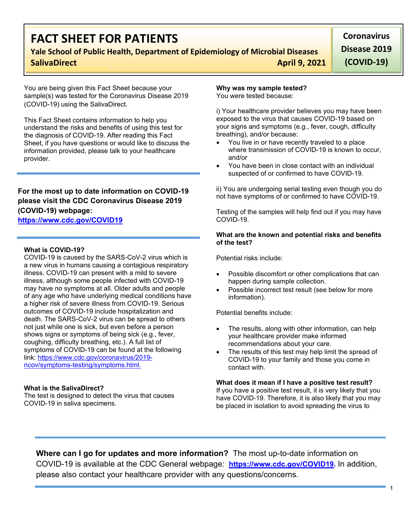# **FACT SHEET FOR PATIENTS**

## **Yale School of Public Health, Department of Epidemiology of Microbial Diseases SalivaDirect April 9, 2021**

**Coronavirus Disease 2019 (COVID-19)**

You are being given this Fact Sheet because your sample(s) was tested for the Coronavirus Disease 2019 (COVID-19) using the SalivaDirect.

This Fact Sheet contains information to help you understand the risks and benefits of using this test for the diagnosis of COVID-19. After reading this Fact Sheet, if you have questions or would like to discuss the information provided, please talk to your healthcare provider.

### **For the most up to date information on COVID-19 please visit the CDC Coronavirus Disease 2019 (COVID-19) webpage:**

### **[https://www.cdc.gov/COVID19](https://www.cdc.gov/nCoV)**

#### **What is COVID-19?**

COVID-19 is caused by the SARS-CoV-2 virus which is a new virus in humans causing a contagious respiratory illness. COVID-19 can present with a mild to severe illness, although some people infected with COVID-19 may have no symptoms at all. Older adults and people of any age who have underlying medical conditions have a higher risk of severe illness from COVID-19. Serious outcomes of COVID-19 include hospitalization and death. The SARS-CoV-2 virus can be spread to others not just while one is sick, but even before a person shows signs or symptoms of being sick (e.g., fever, coughing, difficulty breathing, etc.). A full list of symptoms of COVID-19 can be found at the following link: [https://www.cdc.gov/coronavirus/2019](https://www.cdc.gov/coronavirus/2019-ncov/symptoms-testing/symptoms.html) [ncov/symptoms-testing/symptoms.html.](https://www.cdc.gov/coronavirus/2019-ncov/symptoms-testing/symptoms.html)

#### **What is the SalivaDirect?**

The test is designed to detect the virus that causes COVID-19 in saliva specimens.

## **Why was my sample tested?**

You were tested because:

i) Your healthcare provider believes you may have been exposed to the virus that causes COVID-19 based on your signs and symptoms (e.g., fever, cough, difficulty breathing), and/or because:

- You live in or have recently traveled to a place where transmission of COVID-19 is known to occur, and/or
- You have been in close contact with an individual suspected of or confirmed to have COVID-19.

ii) You are undergoing serial testing even though you do not have symptoms of or confirmed to have COVID-19.

Testing of the samples will help find out if you may have COVID-19.

#### **What are the known and potential risks and benefits of the test?**

Potential risks include:

- Possible discomfort or other complications that can happen during sample collection.
- Possible incorrect test result (see below for more information).

Potential benefits include:

- The results, along with other information, can help your healthcare provider make informed recommendations about your care.
- The results of this test may help limit the spread of COVID-19 to your family and those you come in contact with.

#### **What does it mean if I have a positive test result?**

If you have a positive test result, it is very likely that you have COVID-19. Therefore, it is also likely that you may be placed in isolation to avoid spreading the virus to

**Where can I go for updates and more information?** The most up-to-date information on COVID-19 is available at the CDC General webpage: **[https://www.cdc.gov/COVID19.](https://www.cdc.gov/nCoV)** In addition, please also contact your healthcare provider with any questions/concerns.